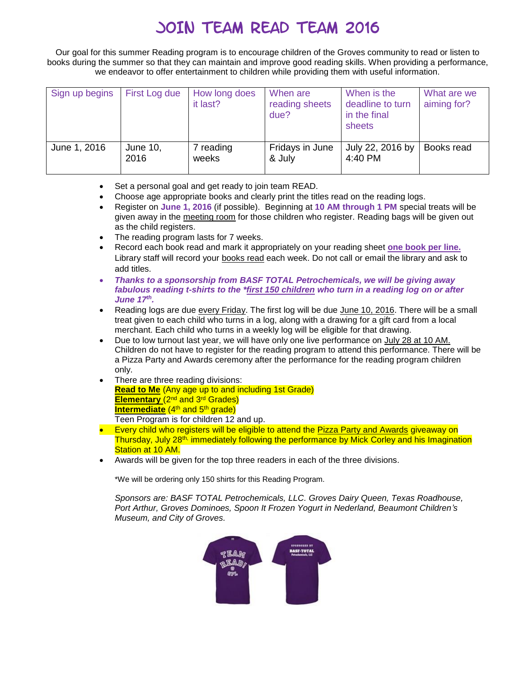## JOIN TEAM READ TEAM 2016

Our goal for this summer Reading program is to encourage children of the Groves community to read or listen to books during the summer so that they can maintain and improve good reading skills. When providing a performance, we endeavor to offer entertainment to children while providing them with useful information.

| Sign up begins | First Log due    | How long does<br>it last? | When are<br>reading sheets<br>due? | When is the<br>deadline to turn<br>in the final<br>sheets | What are we<br>aiming for? |
|----------------|------------------|---------------------------|------------------------------------|-----------------------------------------------------------|----------------------------|
| June 1, 2016   | June 10,<br>2016 | 7 reading<br>weeks        | Fridays in June<br>& July          | July 22, 2016 by<br>4:40 PM                               | Books read                 |

- Set a personal goal and get ready to join team READ.
- Choose age appropriate books and clearly print the titles read on the reading logs.
- Register on **June 1, 2016** (if possible). Beginning at **10 AM through 1 PM** special treats will be given away in the meeting room for those children who register. Reading bags will be given out as the child registers.
- The reading program lasts for 7 weeks.
- Record each book read and mark it appropriately on your reading sheet **one book per line.** Library staff will record your books read each week. Do not call or email the library and ask to add titles.
- *Thanks to a sponsorship from BASF TOTAL Petrochemicals, we will be giving away fabulous reading t-shirts to the \*first 150 children who turn in a reading log on or after June 17th .*
- Reading logs are due every Friday. The first log will be due June 10, 2016. There will be a small treat given to each child who turns in a log, along with a drawing for a gift card from a local merchant. Each child who turns in a weekly log will be eligible for that drawing.
- Due to low turnout last year, we will have only one live performance on July 28 at 10 AM. Children do not have to register for the reading program to attend this performance. There will be a Pizza Party and Awards ceremony after the performance for the reading program children only.
- There are three reading divisions: **Read to Me** (Any age up to and including 1st Grade) **Elementary** (2nd and 3rd Grades) **Intermediate** (4<sup>th</sup> and 5<sup>th</sup> grade)

Teen Program is for children 12 and up.

- Every child who registers will be eligible to attend the Pizza Party and Awards giveaway on Thursday, July 28<sup>th,</sup> immediately following the performance by Mick Corley and his Imagination Station at 10 AM.
- Awards will be given for the top three readers in each of the three divisions.

\*We will be ordering only 150 shirts for this Reading Program.

*Sponsors are: BASF TOTAL Petrochemicals, LLC. Groves Dairy Queen, Texas Roadhouse, Port Arthur, Groves Dominoes, Spoon It Frozen Yogurt in Nederland, Beaumont Children's Museum, and City of Groves.*

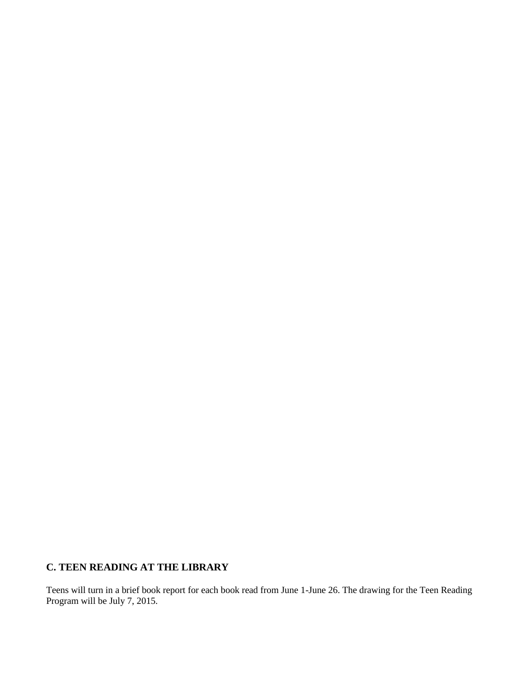## **C. TEEN READING AT THE LIBRARY**

Teens will turn in a brief book report for each book read from June 1-June 26. The drawing for the Teen Reading Program will be July 7, 2015.